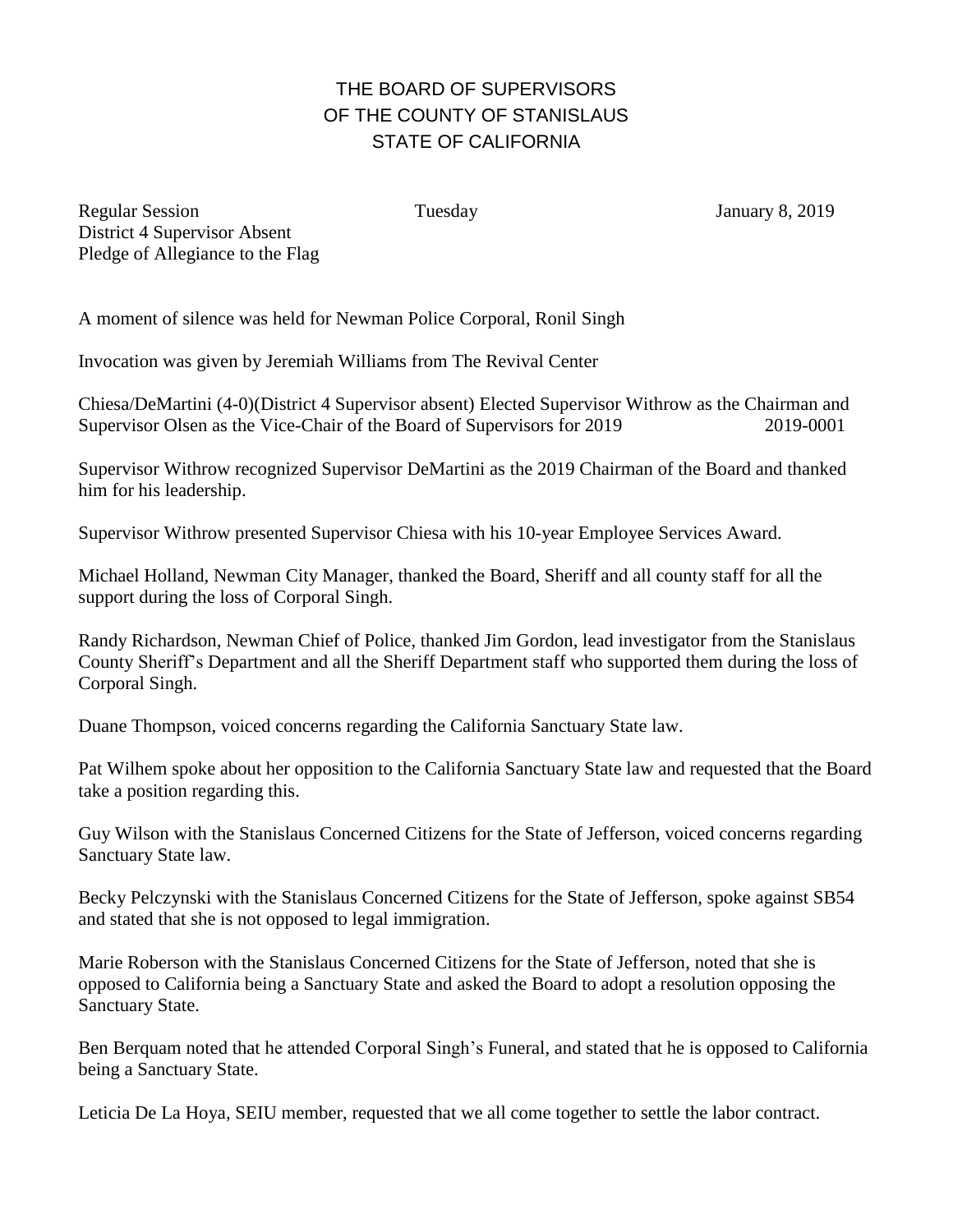## THE BOARD OF SUPERVISORS OF THE COUNTY OF STANISLAUS STATE OF CALIFORNIA

Regular Session Tuesday January 8, 2019 District 4 Supervisor Absent Pledge of Allegiance to the Flag

A moment of silence was held for Newman Police Corporal, Ronil Singh

Invocation was given by Jeremiah Williams from The Revival Center

Chiesa/DeMartini (4-0)(District 4 Supervisor absent) Elected Supervisor Withrow as the Chairman and Supervisor Olsen as the Vice-Chair of the Board of Supervisors for 2019 2019-0001

Supervisor Withrow recognized Supervisor DeMartini as the 2019 Chairman of the Board and thanked him for his leadership.

Supervisor Withrow presented Supervisor Chiesa with his 10-year Employee Services Award.

Michael Holland, Newman City Manager, thanked the Board, Sheriff and all county staff for all the support during the loss of Corporal Singh.

Randy Richardson, Newman Chief of Police, thanked Jim Gordon, lead investigator from the Stanislaus County Sheriff's Department and all the Sheriff Department staff who supported them during the loss of Corporal Singh.

Duane Thompson, voiced concerns regarding the California Sanctuary State law.

Pat Wilhem spoke about her opposition to the California Sanctuary State law and requested that the Board take a position regarding this.

Guy Wilson with the Stanislaus Concerned Citizens for the State of Jefferson, voiced concerns regarding Sanctuary State law.

Becky Pelczynski with the Stanislaus Concerned Citizens for the State of Jefferson, spoke against SB54 and stated that she is not opposed to legal immigration.

Marie Roberson with the Stanislaus Concerned Citizens for the State of Jefferson, noted that she is opposed to California being a Sanctuary State and asked the Board to adopt a resolution opposing the Sanctuary State.

Ben Berquam noted that he attended Corporal Singh's Funeral, and stated that he is opposed to California being a Sanctuary State.

Leticia De La Hoya, SEIU member, requested that we all come together to settle the labor contract.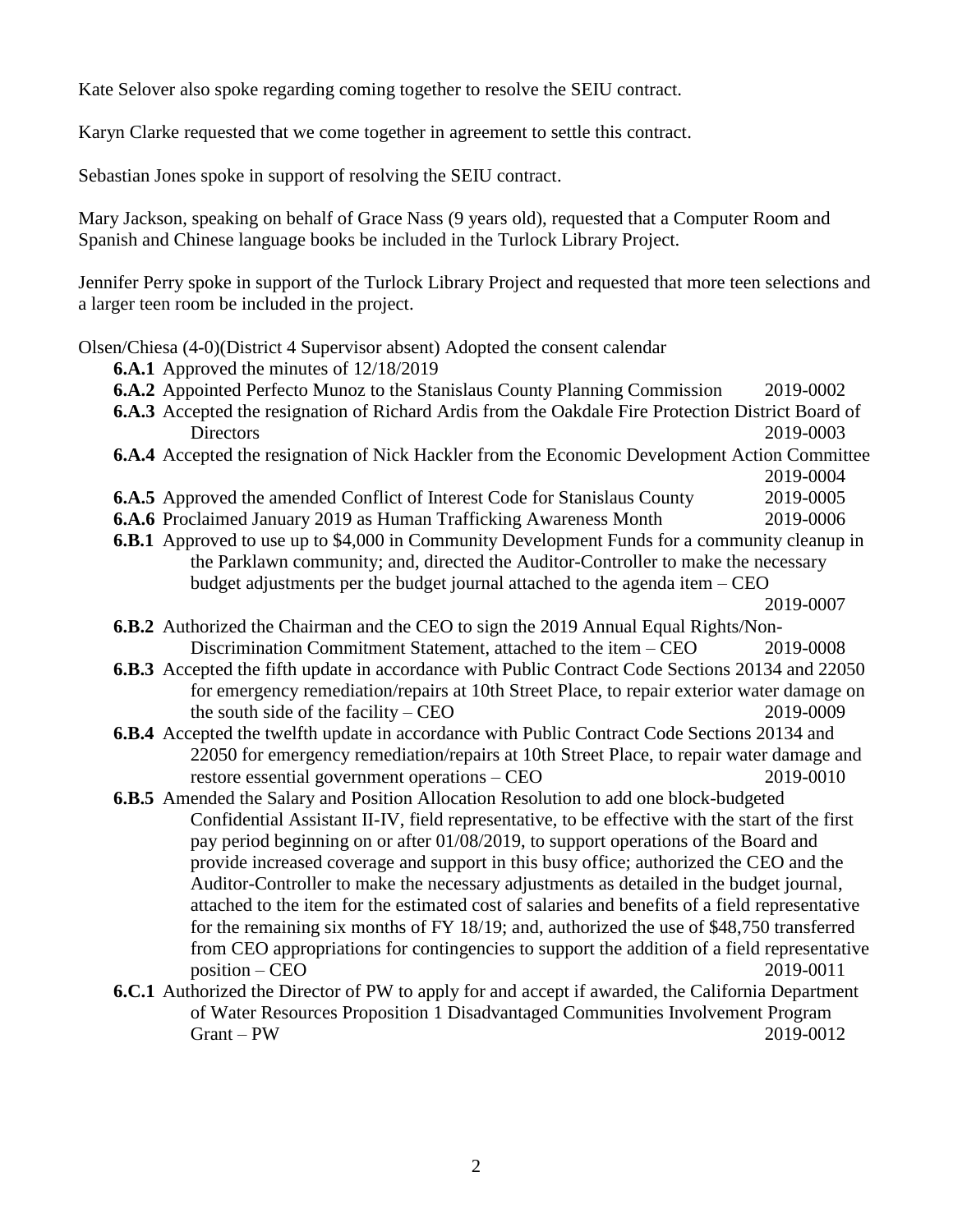Kate Selover also spoke regarding coming together to resolve the SEIU contract.

Karyn Clarke requested that we come together in agreement to settle this contract.

Sebastian Jones spoke in support of resolving the SEIU contract.

Mary Jackson, speaking on behalf of Grace Nass (9 years old), requested that a Computer Room and Spanish and Chinese language books be included in the Turlock Library Project.

Jennifer Perry spoke in support of the Turlock Library Project and requested that more teen selections and a larger teen room be included in the project.

Olsen/Chiesa (4-0)(District 4 Supervisor absent) Adopted the consent calendar

- **6.A.1** Approved the minutes of  $12/18/2019$
- **6.A.2** Appointed Perfecto Munoz to the Stanislaus County Planning Commission 2019-0002
- **6.A.3** Accepted the resignation of Richard Ardis from the Oakdale Fire Protection District Board of Directors 2019-0003 **6.A.4** Accepted the resignation of Nick Hackler from the Economic Development Action Committee
- 2019-0004 **6.A.5** Approved the amended Conflict of Interest Code for Stanislaus County 2019-0005
- **6.A.6** Proclaimed January 2019 as Human Trafficking Awareness Month 2019-0006
- **6.B.1** Approved to use up to \$4,000 in Community Development Funds for a community cleanup in the Parklawn community; and, directed the Auditor-Controller to make the necessary budget adjustments per the budget journal attached to the agenda item – CEO

2019-0007

- **6.B.2** Authorized the Chairman and the CEO to sign the 2019 Annual Equal Rights/Non-Discrimination Commitment Statement, attached to the item – CEO 2019-0008
- **6.B.3** Accepted the fifth update in accordance with Public Contract Code Sections 20134 and 22050 for emergency remediation/repairs at 10th Street Place, to repair exterior water damage on the south side of the facility – CEO 2019-0009
- **6.B.4** Accepted the twelfth update in accordance with Public Contract Code Sections 20134 and 22050 for emergency remediation/repairs at 10th Street Place, to repair water damage and restore essential government operations – CEO 2019-0010
- **6.B.5** Amended the Salary and Position Allocation Resolution to add one block-budgeted Confidential Assistant II-IV, field representative, to be effective with the start of the first pay period beginning on or after 01/08/2019, to support operations of the Board and provide increased coverage and support in this busy office; authorized the CEO and the Auditor-Controller to make the necessary adjustments as detailed in the budget journal, attached to the item for the estimated cost of salaries and benefits of a field representative for the remaining six months of FY 18/19; and, authorized the use of \$48,750 transferred from CEO appropriations for contingencies to support the addition of a field representative position – CEO 2019-0011
- **6.C.1** Authorized the Director of PW to apply for and accept if awarded, the California Department of Water Resources Proposition 1 Disadvantaged Communities Involvement Program Grant – PW 2019-0012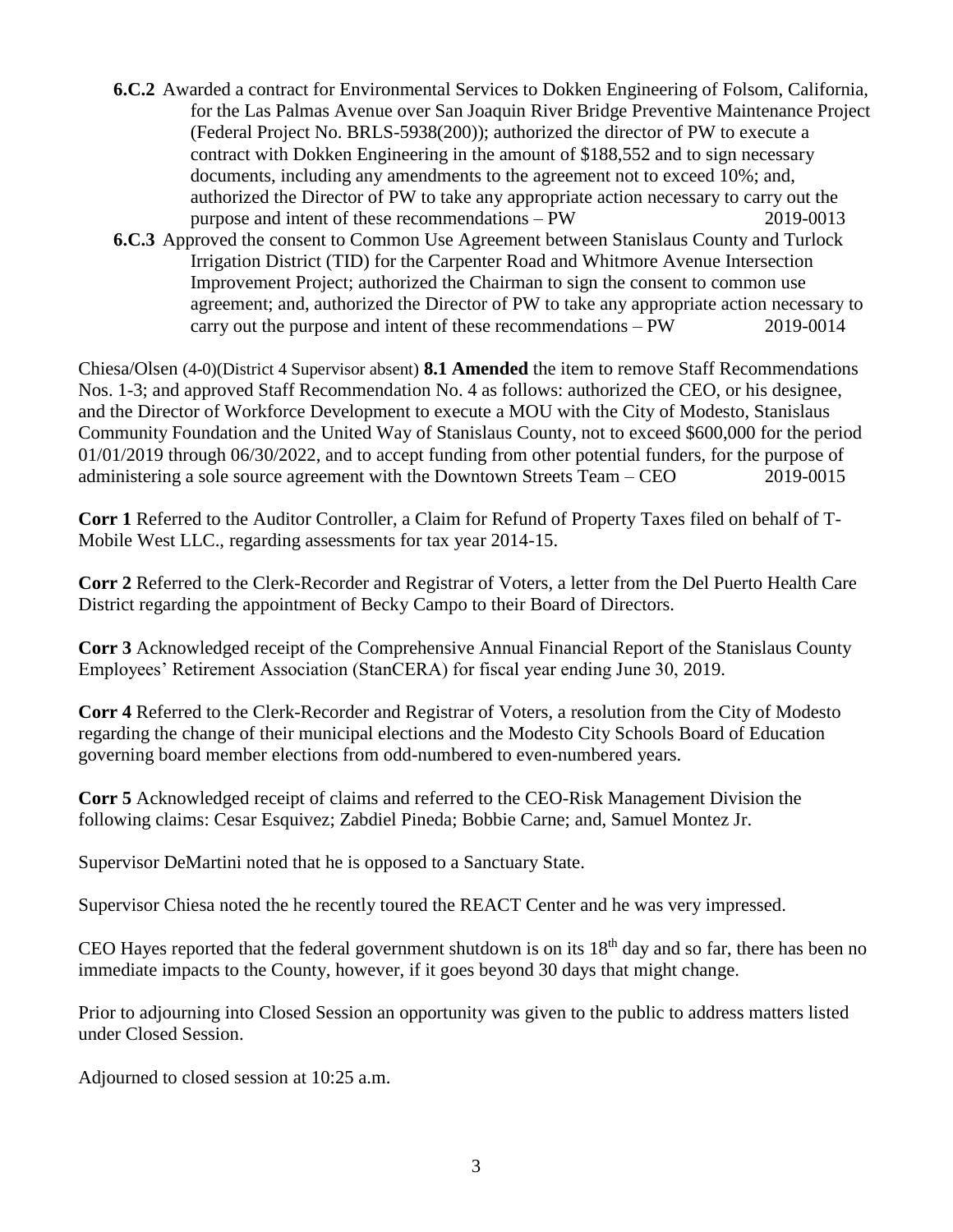- **6.C.2** Awarded a contract for Environmental Services to Dokken Engineering of Folsom, California, for the Las Palmas Avenue over San Joaquin River Bridge Preventive Maintenance Project (Federal Project No. BRLS-5938(200)); authorized the director of PW to execute a contract with Dokken Engineering in the amount of \$188,552 and to sign necessary documents, including any amendments to the agreement not to exceed 10%; and, authorized the Director of PW to take any appropriate action necessary to carry out the purpose and intent of these recommendations – PW 2019-0013
- **6.C.3** Approved the consent to Common Use Agreement between Stanislaus County and Turlock Irrigation District (TID) for the Carpenter Road and Whitmore Avenue Intersection Improvement Project; authorized the Chairman to sign the consent to common use agreement; and, authorized the Director of PW to take any appropriate action necessary to carry out the purpose and intent of these recommendations – PW 2019-0014

Chiesa/Olsen (4-0)(District 4 Supervisor absent) **8.1 Amended** the item to remove Staff Recommendations Nos. 1-3; and approved Staff Recommendation No. 4 as follows: authorized the CEO, or his designee, and the Director of Workforce Development to execute a MOU with the City of Modesto, Stanislaus Community Foundation and the United Way of Stanislaus County, not to exceed \$600,000 for the period 01/01/2019 through 06/30/2022, and to accept funding from other potential funders, for the purpose of administering a sole source agreement with the Downtown Streets Team – CEO 2019-0015

**Corr 1** Referred to the Auditor Controller, a Claim for Refund of Property Taxes filed on behalf of T-Mobile West LLC., regarding assessments for tax year 2014-15.

**Corr 2** Referred to the Clerk-Recorder and Registrar of Voters, a letter from the Del Puerto Health Care District regarding the appointment of Becky Campo to their Board of Directors.

**Corr 3** Acknowledged receipt of the Comprehensive Annual Financial Report of the Stanislaus County Employees' Retirement Association (StanCERA) for fiscal year ending June 30, 2019.

**Corr 4** Referred to the Clerk-Recorder and Registrar of Voters, a resolution from the City of Modesto regarding the change of their municipal elections and the Modesto City Schools Board of Education governing board member elections from odd-numbered to even-numbered years.

**Corr 5** Acknowledged receipt of claims and referred to the CEO-Risk Management Division the following claims: Cesar Esquivez; Zabdiel Pineda; Bobbie Carne; and, Samuel Montez Jr.

Supervisor DeMartini noted that he is opposed to a Sanctuary State.

Supervisor Chiesa noted the he recently toured the REACT Center and he was very impressed.

CEO Hayes reported that the federal government shutdown is on its 18<sup>th</sup> day and so far, there has been no immediate impacts to the County, however, if it goes beyond 30 days that might change.

Prior to adjourning into Closed Session an opportunity was given to the public to address matters listed under Closed Session.

Adjourned to closed session at 10:25 a.m.